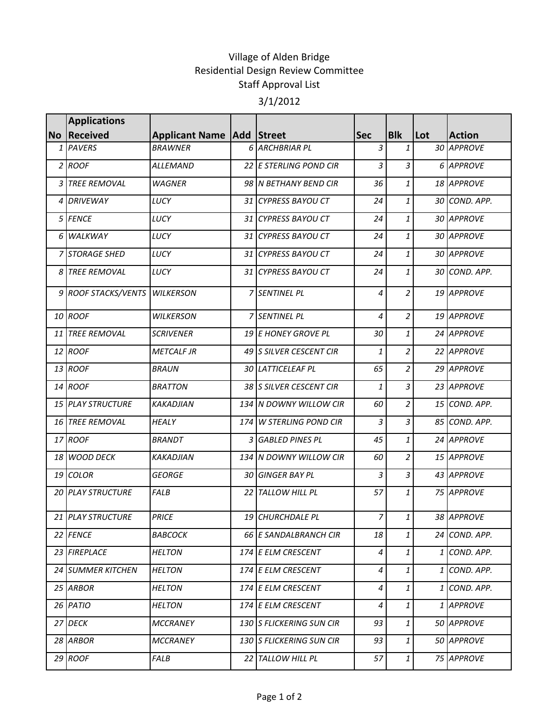## Village of Alden Bridge Residential Design Review Committee Staff Approval List 3/1/2012

|                | <b>Applications</b>      |                                      |                          |                |                                                       |     |               |
|----------------|--------------------------|--------------------------------------|--------------------------|----------------|-------------------------------------------------------|-----|---------------|
|                | No Received              | <b>Applicant Name   Add   Street</b> |                          | <b>Sec</b>     | <b>Blk</b>                                            | Lot | <b>Action</b> |
|                | 1 PAVERS                 | <b>BRAWNER</b>                       | 6 ARCHBRIAR PL           | 3              | $\mathbf{1}$                                          |     | 30 APPROVE    |
|                | 2 ROOF                   | ALLEMAND                             | 22 E STERLING POND CIR   | 3              | 3                                                     |     | 6 APPROVE     |
|                | 3 TREE REMOVAL           | <b>WAGNER</b>                        | 98 IN BETHANY BEND CIR   | 36             | 1                                                     |     | 18 APPROVE    |
|                | 4 DRIVEWAY               | LUCY                                 | 31 CYPRESS BAYOU CT      | 24             | 1                                                     |     | 30 COND. APP. |
|                | 5 FENCE                  | LUCY                                 | 31 CYPRESS BAYOU CT      | 24             | 1                                                     |     | 30 APPROVE    |
|                | 6 WALKWAY                | LUCY                                 | 31 CYPRESS BAYOU CT      | 24             | 1                                                     |     | 30 APPROVE    |
|                | 7 STORAGE SHED           | LUCY                                 | 31 CYPRESS BAYOU CT      | 24             | 1                                                     |     | 30 APPROVE    |
| 8 <sup>1</sup> | <b>TREE REMOVAL</b>      | LUCY                                 | 31 CYPRESS BAYOU CT      | 24             | 1                                                     |     | 30 COND. APP. |
|                | 9 ROOF STACKS/VENTS      | <b>WILKERSON</b>                     | 7 SENTINEL PL            | 4              | $\overline{c}$                                        |     | 19 APPROVE    |
|                | 10 ROOF                  | <b>WILKERSON</b>                     | 7 SENTINEL PL            | 4              | $\overline{2}$                                        |     | 19 APPROVE    |
|                | 11 TREE REMOVAL          | <b>SCRIVENER</b>                     | 19 E HONEY GROVE PL      | 30             | $\mathbf{1}$                                          |     | 24 APPROVE    |
|                | 12 ROOF                  | <b>METCALF JR</b>                    | 49 S SILVER CESCENT CIR  | 1              | $\overline{c}$                                        |     | 22 APPROVE    |
|                | 13 ROOF                  | <b>BRAUN</b>                         | 30 LATTICELEAF PL        | 65             | 2                                                     |     | 29 APPROVE    |
|                | 14 ROOF                  | <b>BRATTON</b>                       | 38 SILVER CESCENT CIR    | 1              | 3                                                     |     | 23 APPROVE    |
|                | 15 PLAY STRUCTURE        | <b>KAKADJIAN</b>                     | 134 N DOWNY WILLOW CIR   | 60             | $\overline{2}$                                        |     | 15 COND. APP. |
|                | 16 TREE REMOVAL          | HEALY                                | 174 W STERLING POND CIR  | $\overline{3}$ | 3                                                     |     | 85 COND. APP. |
|                | 17 ROOF                  | <b>BRANDT</b>                        | 3 GABLED PINES PL        | 45             | $\mathbf{1}$                                          |     | 24 APPROVE    |
|                | 18 WOOD DECK             | <b>KAKADJIAN</b>                     | 134 N DOWNY WILLOW CIR   | 60             | $\overline{c}$                                        |     | 15 APPROVE    |
|                | 19 COLOR                 | <b>GEORGE</b>                        | 30 GINGER BAY PL         | 3              | 3                                                     |     | 43 APPROVE    |
|                | <b>20 PLAY STRUCTURE</b> | <b>FALB</b>                          | 22 TALLOW HILL PL        | 57             | 1                                                     |     | 75 APPROVE    |
|                | 21 PLAY STRUCTURE        | <b>PRICE</b>                         | 19 CHURCHDALE PL         | 7              | 1                                                     |     | 38 APPROVE    |
|                | 22 FENCE                 | <i>BABCOCK</i>                       | 66 E SANDALBRANCH CIR    | 18             | $\mathbf{1}$                                          |     | 24 COND. APP. |
|                | 23 FIREPLACE             | <b>HELTON</b>                        | 174 E ELM CRESCENT       | 4              | 1                                                     |     | 1 COND. APP.  |
|                | 24 SUMMER KITCHEN        | <b>HELTON</b>                        | 174 E ELM CRESCENT       | 4              | 1                                                     |     | 1 COND. APP.  |
|                | 25 ARBOR                 | <b>HELTON</b>                        | 174 E ELM CRESCENT       | 4              | 1                                                     |     | 1 COND. APP.  |
|                | 26 PATIO                 | <b>HELTON</b>                        | 174 E ELM CRESCENT       | 4              | 1                                                     |     | 1 APPROVE     |
|                | 27 DECK                  | <b>MCCRANEY</b>                      | 130 S FLICKERING SUN CIR | 93             | 1                                                     |     | 50 APPROVE    |
|                | 28 ARBOR                 | MCCRANEY                             | 130 S FLICKERING SUN CIR | 93             | 1                                                     |     | 50 APPROVE    |
|                | 29 ROOF                  | FALB                                 | 22 TALLOW HILL PL        | 57             | $\mathbf{1}% _{T}=\mathbf{1}_{T}\times\mathbf{2}_{T}$ |     | 75 APPROVE    |